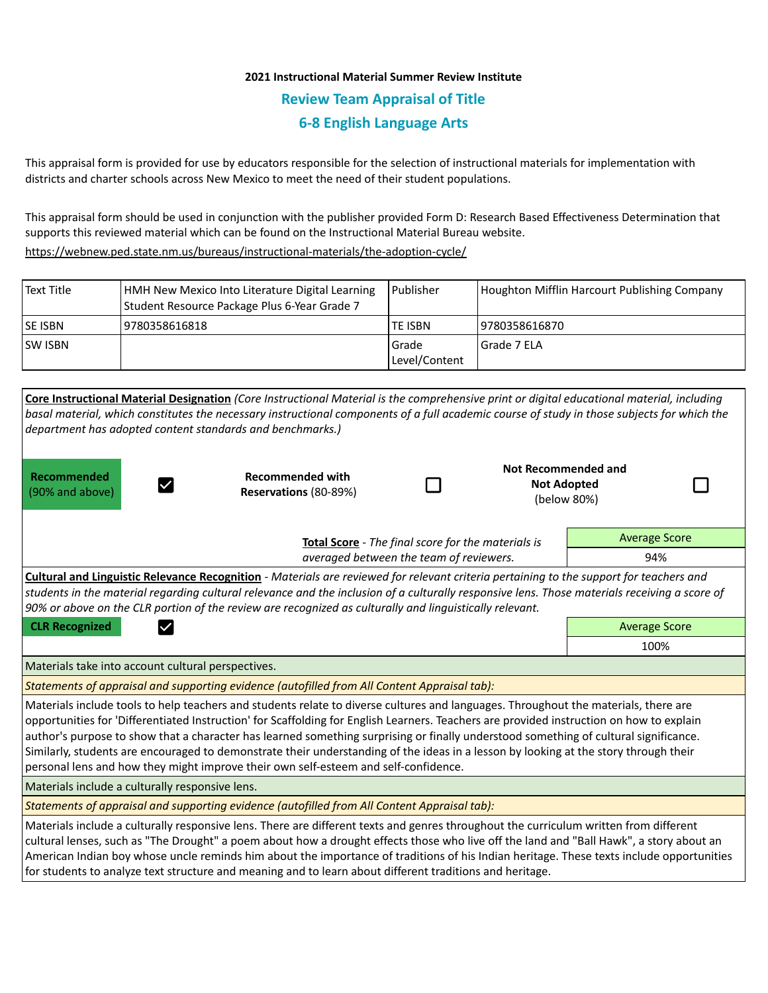## **2021 Instructional Material Summer Review Institute Review Team Appraisal of Title 6-8 English Language Arts**

This appraisal form is provided for use by educators responsible for the selection of instructional materials for implementation with districts and charter schools across New Mexico to meet the need of their student populations.

This appraisal form should be used in conjunction with the publisher provided Form D: Research Based Effectiveness Determination that supports this reviewed material which can be found on the Instructional Material Bureau website.

<https://webnew.ped.state.nm.us/bureaus/instructional-materials/the-adoption-cycle/>

| l Text Title    | HMH New Mexico Into Literature Digital Learning<br>Student Resource Package Plus 6-Year Grade 7 | Publisher                | Houghton Mifflin Harcourt Publishing Company |
|-----------------|-------------------------------------------------------------------------------------------------|--------------------------|----------------------------------------------|
| <b>ISE ISBN</b> | 9780358616818                                                                                   | <b>TE ISBN</b>           | 19780358616870                               |
| <b>ISW ISBN</b> |                                                                                                 | l Grade<br>Level/Content | Grade 7 ELA                                  |

|                                                                                               | Core Instructional Material Designation (Core Instructional Material is the comprehensive print or digital educational material, including<br>basal material, which constitutes the necessary instructional components of a full academic course of study in those subjects for which the<br>department has adopted content standards and benchmarks.)                                                                                                                                                                                                                                                                                                 |  |                                                          |                      |  |
|-----------------------------------------------------------------------------------------------|--------------------------------------------------------------------------------------------------------------------------------------------------------------------------------------------------------------------------------------------------------------------------------------------------------------------------------------------------------------------------------------------------------------------------------------------------------------------------------------------------------------------------------------------------------------------------------------------------------------------------------------------------------|--|----------------------------------------------------------|----------------------|--|
| Recommended<br>(90% and above)                                                                | <b>Recommended with</b><br>Reservations (80-89%)                                                                                                                                                                                                                                                                                                                                                                                                                                                                                                                                                                                                       |  | Not Recommended and<br><b>Not Adopted</b><br>(below 80%) |                      |  |
|                                                                                               | <b>Average Score</b>                                                                                                                                                                                                                                                                                                                                                                                                                                                                                                                                                                                                                                   |  |                                                          |                      |  |
| Total Score - The final score for the materials is<br>averaged between the team of reviewers. |                                                                                                                                                                                                                                                                                                                                                                                                                                                                                                                                                                                                                                                        |  |                                                          | 94%                  |  |
|                                                                                               | Cultural and Linguistic Relevance Recognition - Materials are reviewed for relevant criteria pertaining to the support for teachers and<br>students in the material regarding cultural relevance and the inclusion of a culturally responsive lens. Those materials receiving a score of<br>90% or above on the CLR portion of the review are recognized as culturally and linguistically relevant.                                                                                                                                                                                                                                                    |  |                                                          |                      |  |
| <b>CLR Recognized</b>                                                                         |                                                                                                                                                                                                                                                                                                                                                                                                                                                                                                                                                                                                                                                        |  |                                                          | <b>Average Score</b> |  |
|                                                                                               |                                                                                                                                                                                                                                                                                                                                                                                                                                                                                                                                                                                                                                                        |  |                                                          | 100%                 |  |
| Materials take into account cultural perspectives.                                            |                                                                                                                                                                                                                                                                                                                                                                                                                                                                                                                                                                                                                                                        |  |                                                          |                      |  |
|                                                                                               | Statements of appraisal and supporting evidence (autofilled from All Content Appraisal tab):                                                                                                                                                                                                                                                                                                                                                                                                                                                                                                                                                           |  |                                                          |                      |  |
|                                                                                               | Materials include tools to help teachers and students relate to diverse cultures and languages. Throughout the materials, there are<br>opportunities for 'Differentiated Instruction' for Scaffolding for English Learners. Teachers are provided instruction on how to explain<br>author's purpose to show that a character has learned something surprising or finally understood something of cultural significance.<br>Similarly, students are encouraged to demonstrate their understanding of the ideas in a lesson by looking at the story through their<br>personal lens and how they might improve their own self-esteem and self-confidence. |  |                                                          |                      |  |
| Materials include a culturally responsive lens.                                               |                                                                                                                                                                                                                                                                                                                                                                                                                                                                                                                                                                                                                                                        |  |                                                          |                      |  |
|                                                                                               | Statements of appraisal and supporting evidence (autofilled from All Content Appraisal tab):                                                                                                                                                                                                                                                                                                                                                                                                                                                                                                                                                           |  |                                                          |                      |  |
|                                                                                               | Materials include a culturally responsive lens. There are different texts and genres throughout the curriculum written from different<br>cultural lenses, such as "The Drought" a poem about how a drought effects those who live off the land and "Ball Hawk", a story about an<br>American Indian boy whose uncle reminds him about the importance of traditions of his Indian heritage. These texts include opportunities<br>for students to analyze text structure and meaning and to learn about different traditions and heritage.                                                                                                               |  |                                                          |                      |  |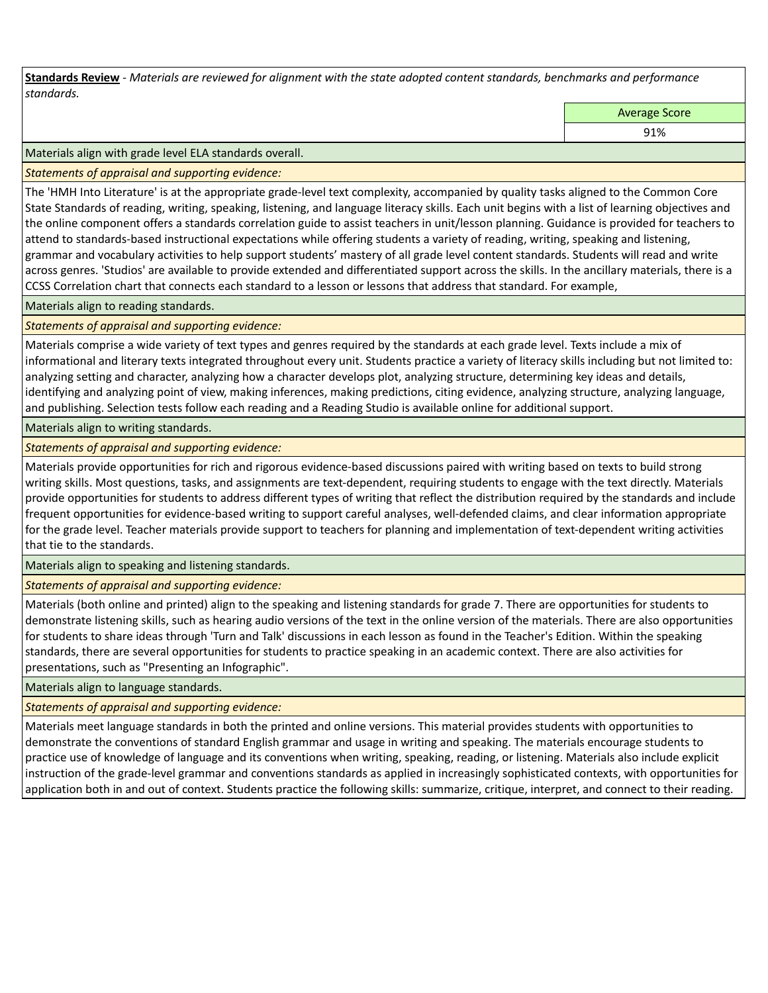**Standards Review** *- Materials are reviewed for alignment with the state adopted content standards, benchmarks and performance standards.*

Average Score

91%

Materials align with grade level ELA standards overall.

*Statements of appraisal and supporting evidence:* 

The 'HMH Into Literature' is at the appropriate grade-level text complexity, accompanied by quality tasks aligned to the Common Core State Standards of reading, writing, speaking, listening, and language literacy skills. Each unit begins with a list of learning objectives and the online component offers a standards correlation guide to assist teachers in unit/lesson planning. Guidance is provided for teachers to attend to standards-based instructional expectations while offering students a variety of reading, writing, speaking and listening, grammar and vocabulary activities to help support students' mastery of all grade level content standards. Students will read and write across genres. 'Studios' are available to provide extended and differentiated support across the skills. In the ancillary materials, there is a CCSS Correlation chart that connects each standard to a lesson or lessons that address that standard. For example,

Materials align to reading standards.

*Statements of appraisal and supporting evidence:* 

Materials comprise a wide variety of text types and genres required by the standards at each grade level. Texts include a mix of informational and literary texts integrated throughout every unit. Students practice a variety of literacy skills including but not limited to: analyzing setting and character, analyzing how a character develops plot, analyzing structure, determining key ideas and details, identifying and analyzing point of view, making inferences, making predictions, citing evidence, analyzing structure, analyzing language, and publishing. Selection tests follow each reading and a Reading Studio is available online for additional support.

Materials align to writing standards.

*Statements of appraisal and supporting evidence:* 

Materials provide opportunities for rich and rigorous evidence-based discussions paired with writing based on texts to build strong writing skills. Most questions, tasks, and assignments are text-dependent, requiring students to engage with the text directly. Materials provide opportunities for students to address different types of writing that reflect the distribution required by the standards and include frequent opportunities for evidence-based writing to support careful analyses, well-defended claims, and clear information appropriate for the grade level. Teacher materials provide support to teachers for planning and implementation of text-dependent writing activities that tie to the standards.

Materials align to speaking and listening standards.

*Statements of appraisal and supporting evidence:* 

Materials (both online and printed) align to the speaking and listening standards for grade 7. There are opportunities for students to demonstrate listening skills, such as hearing audio versions of the text in the online version of the materials. There are also opportunities for students to share ideas through 'Turn and Talk' discussions in each lesson as found in the Teacher's Edition. Within the speaking standards, there are several opportunities for students to practice speaking in an academic context. There are also activities for presentations, such as "Presenting an Infographic".

Materials align to language standards.

*Statements of appraisal and supporting evidence:* 

Materials meet language standards in both the printed and online versions. This material provides students with opportunities to demonstrate the conventions of standard English grammar and usage in writing and speaking. The materials encourage students to practice use of knowledge of language and its conventions when writing, speaking, reading, or listening. Materials also include explicit instruction of the grade-level grammar and conventions standards as applied in increasingly sophisticated contexts, with opportunities for application both in and out of context. Students practice the following skills: summarize, critique, interpret, and connect to their reading.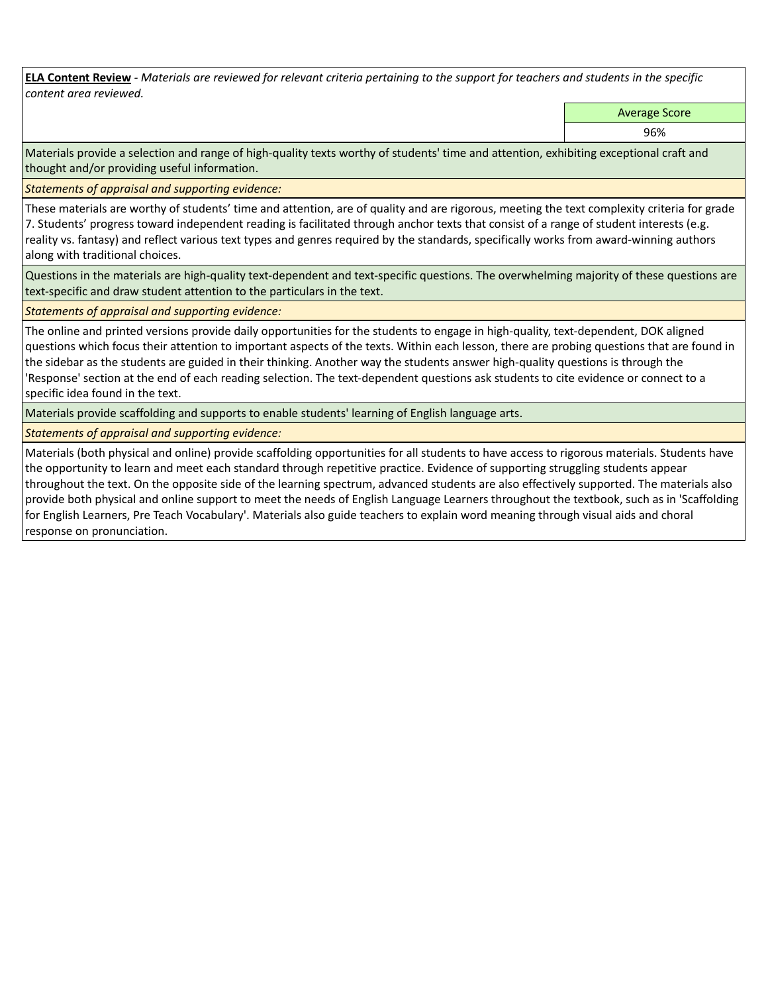**ELA Content Review** *- Materials are reviewed for relevant criteria pertaining to the support for teachers and students in the specific content area reviewed.*

Average Score

96%

Materials provide a selection and range of high-quality texts worthy of students' time and attention, exhibiting exceptional craft and thought and/or providing useful information.

*Statements of appraisal and supporting evidence:* 

These materials are worthy of students' time and attention, are of quality and are rigorous, meeting the text complexity criteria for grade 7. Students' progress toward independent reading is facilitated through anchor texts that consist of a range of student interests (e.g. reality vs. fantasy) and reflect various text types and genres required by the standards, specifically works from award-winning authors along with traditional choices.

Questions in the materials are high-quality text-dependent and text-specific questions. The overwhelming majority of these questions are text-specific and draw student attention to the particulars in the text.

*Statements of appraisal and supporting evidence:* 

The online and printed versions provide daily opportunities for the students to engage in high-quality, text-dependent, DOK aligned questions which focus their attention to important aspects of the texts. Within each lesson, there are probing questions that are found in the sidebar as the students are guided in their thinking. Another way the students answer high-quality questions is through the 'Response' section at the end of each reading selection. The text-dependent questions ask students to cite evidence or connect to a specific idea found in the text.

Materials provide scaffolding and supports to enable students' learning of English language arts.

*Statements of appraisal and supporting evidence:* 

Materials (both physical and online) provide scaffolding opportunities for all students to have access to rigorous materials. Students have the opportunity to learn and meet each standard through repetitive practice. Evidence of supporting struggling students appear throughout the text. On the opposite side of the learning spectrum, advanced students are also effectively supported. The materials also provide both physical and online support to meet the needs of English Language Learners throughout the textbook, such as in 'Scaffolding for English Learners, Pre Teach Vocabulary'. Materials also guide teachers to explain word meaning through visual aids and choral response on pronunciation.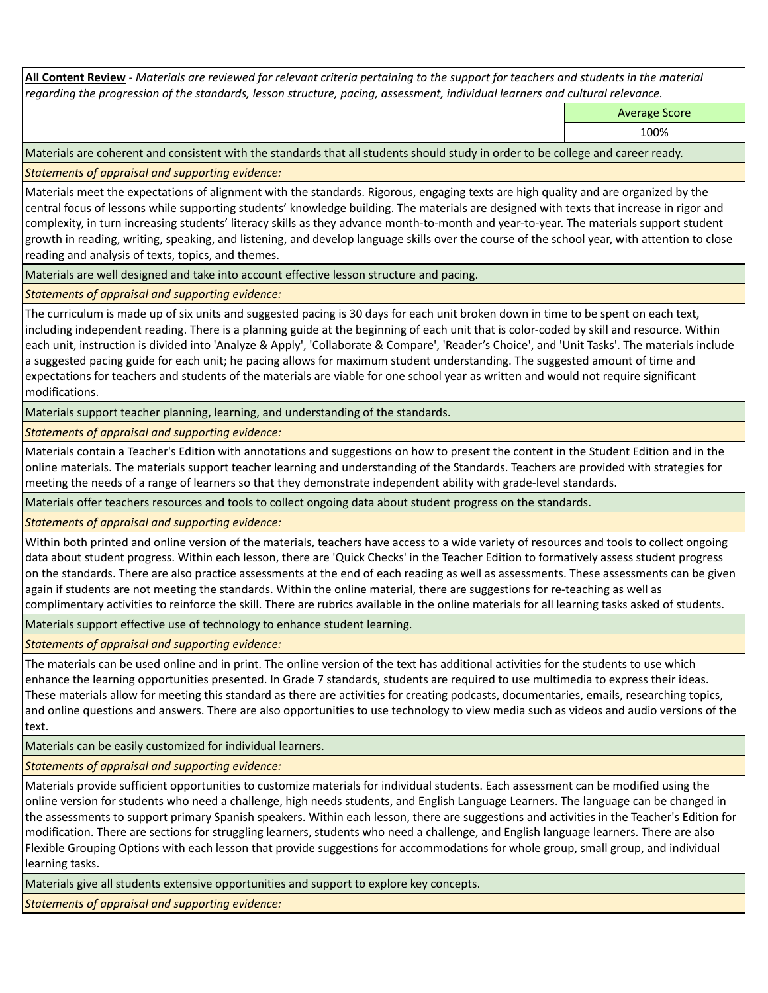**All Content Review** *- Materials are reviewed for relevant criteria pertaining to the support for teachers and students in the material regarding the progression of the standards, lesson structure, pacing, assessment, individual learners and cultural relevance.*

Average Score

100%

Materials are coherent and consistent with the standards that all students should study in order to be college and career ready.

*Statements of appraisal and supporting evidence:*

Materials meet the expectations of alignment with the standards. Rigorous, engaging texts are high quality and are organized by the central focus of lessons while supporting students' knowledge building. The materials are designed with texts that increase in rigor and complexity, in turn increasing students' literacy skills as they advance month-to-month and year-to-year. The materials support student growth in reading, writing, speaking, and listening, and develop language skills over the course of the school year, with attention to close reading and analysis of texts, topics, and themes.

Materials are well designed and take into account effective lesson structure and pacing.

*Statements of appraisal and supporting evidence:*

The curriculum is made up of six units and suggested pacing is 30 days for each unit broken down in time to be spent on each text, including independent reading. There is a planning guide at the beginning of each unit that is color-coded by skill and resource. Within each unit, instruction is divided into 'Analyze & Apply', 'Collaborate & Compare', 'Reader's Choice', and 'Unit Tasks'. The materials include a suggested pacing guide for each unit; he pacing allows for maximum student understanding. The suggested amount of time and expectations for teachers and students of the materials are viable for one school year as written and would not require significant modifications.

Materials support teacher planning, learning, and understanding of the standards.

*Statements of appraisal and supporting evidence:*

Materials contain a Teacher's Edition with annotations and suggestions on how to present the content in the Student Edition and in the online materials. The materials support teacher learning and understanding of the Standards. Teachers are provided with strategies for meeting the needs of a range of learners so that they demonstrate independent ability with grade-level standards.

Materials offer teachers resources and tools to collect ongoing data about student progress on the standards.

*Statements of appraisal and supporting evidence:*

Within both printed and online version of the materials, teachers have access to a wide variety of resources and tools to collect ongoing data about student progress. Within each lesson, there are 'Quick Checks' in the Teacher Edition to formatively assess student progress on the standards. There are also practice assessments at the end of each reading as well as assessments. These assessments can be given again if students are not meeting the standards. Within the online material, there are suggestions for re-teaching as well as complimentary activities to reinforce the skill. There are rubrics available in the online materials for all learning tasks asked of students.

Materials support effective use of technology to enhance student learning.

*Statements of appraisal and supporting evidence:*

The materials can be used online and in print. The online version of the text has additional activities for the students to use which enhance the learning opportunities presented. In Grade 7 standards, students are required to use multimedia to express their ideas. These materials allow for meeting this standard as there are activities for creating podcasts, documentaries, emails, researching topics, and online questions and answers. There are also opportunities to use technology to view media such as videos and audio versions of the text.

Materials can be easily customized for individual learners.

*Statements of appraisal and supporting evidence:* 

Materials provide sufficient opportunities to customize materials for individual students. Each assessment can be modified using the online version for students who need a challenge, high needs students, and English Language Learners. The language can be changed in the assessments to support primary Spanish speakers. Within each lesson, there are suggestions and activities in the Teacher's Edition for modification. There are sections for struggling learners, students who need a challenge, and English language learners. There are also Flexible Grouping Options with each lesson that provide suggestions for accommodations for whole group, small group, and individual learning tasks.

Materials give all students extensive opportunities and support to explore key concepts.

*Statements of appraisal and supporting evidence:*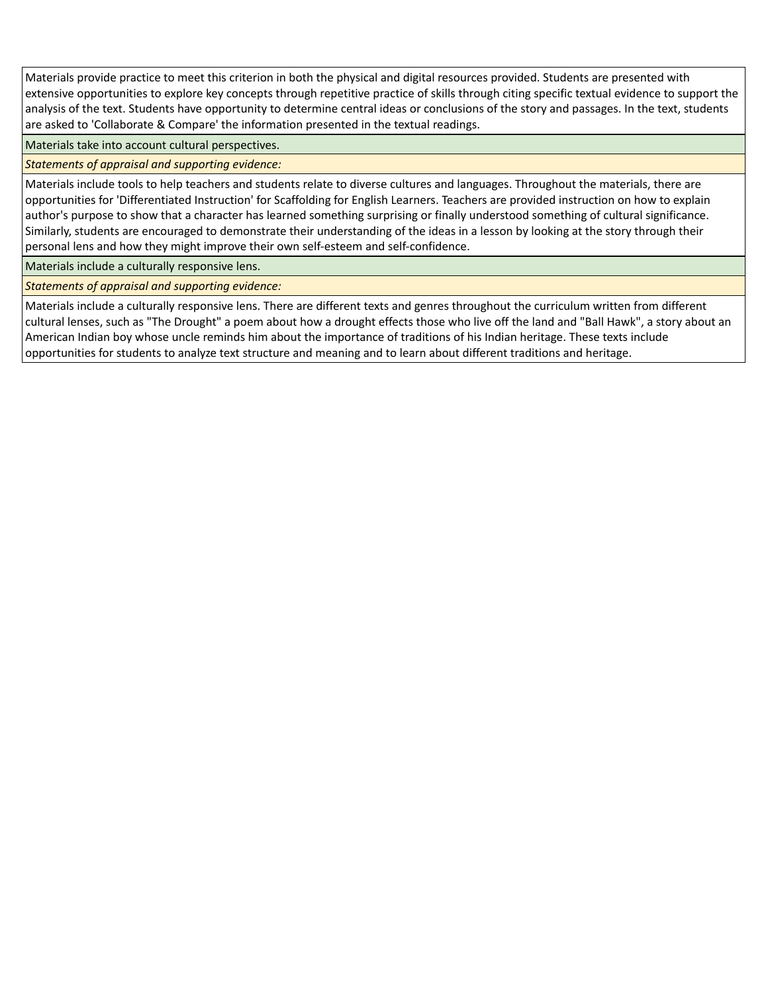Materials provide practice to meet this criterion in both the physical and digital resources provided. Students are presented with extensive opportunities to explore key concepts through repetitive practice of skills through citing specific textual evidence to support the analysis of the text. Students have opportunity to determine central ideas or conclusions of the story and passages. In the text, students are asked to 'Collaborate & Compare' the information presented in the textual readings.

Materials take into account cultural perspectives.

*Statements of appraisal and supporting evidence:*

Materials include tools to help teachers and students relate to diverse cultures and languages. Throughout the materials, there are opportunities for 'Differentiated Instruction' for Scaffolding for English Learners. Teachers are provided instruction on how to explain author's purpose to show that a character has learned something surprising or finally understood something of cultural significance. Similarly, students are encouraged to demonstrate their understanding of the ideas in a lesson by looking at the story through their personal lens and how they might improve their own self-esteem and self-confidence.

Materials include a culturally responsive lens.

*Statements of appraisal and supporting evidence:*

Materials include a culturally responsive lens. There are different texts and genres throughout the curriculum written from different cultural lenses, such as "The Drought" a poem about how a drought effects those who live off the land and "Ball Hawk", a story about an American Indian boy whose uncle reminds him about the importance of traditions of his Indian heritage. These texts include opportunities for students to analyze text structure and meaning and to learn about different traditions and heritage.